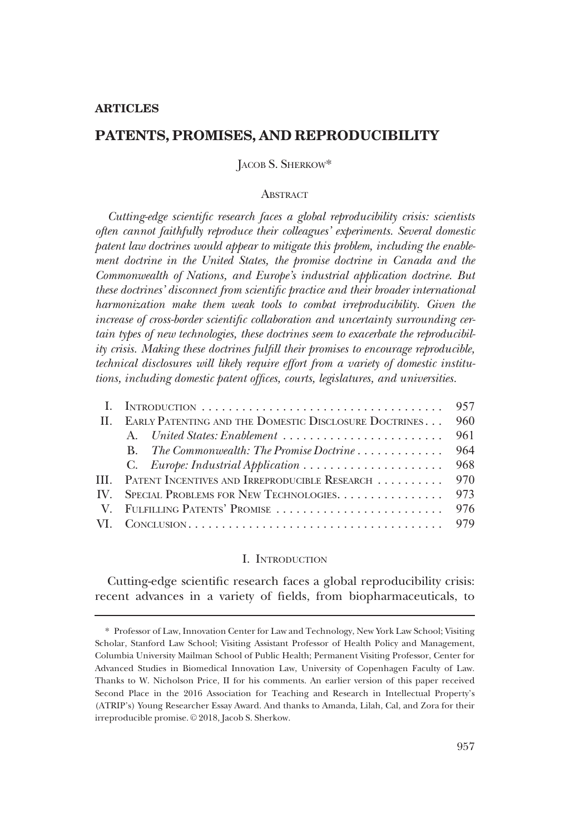### **ARTICLES**

# PATENTS, PROMISES, AND REPRODUCIBILITY

# JACOB S. SHERKOW\*

# **ABSTRACT**

Cutting-edge scientific research faces a global reproducibility crisis: scientists often cannot faithfully reproduce their colleagues' experiments. Several domestic patent law doctrines would appear to mitigate this problem, including the enablement doctrine in the United States, the promise doctrine in Canada and the Commonwealth of Nations, and Europe's industrial application doctrine. But these doctrines' disconnect from scientific practice and their broader international harmonization make them weak tools to combat irreproducibility. Given the increase of cross-border scientific collaboration and uncertainty surrounding certain types of new technologies, these doctrines seem to exacerbate the reproducibility crisis. Making these doctrines fulfill their promises to encourage reproducible, technical disclosures will likely require effort from a variety of domestic institutions, including domestic patent offices, courts, legislatures, and universities.

|                                                           | 957 |
|-----------------------------------------------------------|-----|
| II. EARLY PATENTING AND THE DOMESTIC DISCLOSURE DOCTRINES | 960 |
| A. United States: Enablement                              | 961 |
|                                                           |     |
|                                                           |     |
| III. PATENT INCENTIVES AND IRREPRODUCIBLE RESEARCH        | 970 |
| IV. SPECIAL PROBLEMS FOR NEW TECHNOLOGIES.                | 973 |
|                                                           |     |
|                                                           |     |
|                                                           |     |

## I. INTRODUCTION

Cutting-edge scientific research faces a global reproducibility crisis: recent advances in a variety of fields, from biopharmaceuticals, to

<sup>\*</sup> Professor of Law, Innovation Center for Law and Technology, New York Law School; Visiting Scholar, Stanford Law School; Visiting Assistant Professor of Health Policy and Management, Columbia University Mailman School of Public Health; Permanent Visiting Professor, Center for Advanced Studies in Biomedical Innovation Law, University of Copenhagen Faculty of Law. Thanks to W. Nicholson Price, II for his comments. An earlier version of this paper received Second Place in the 2016 Association for Teaching and Research in Intellectual Property's (ATRIP's) Young Researcher Essay Award. And thanks to Amanda, Lilah, Cal, and Zora for their irreproducible promise. © 2018, Jacob S. Sherkow.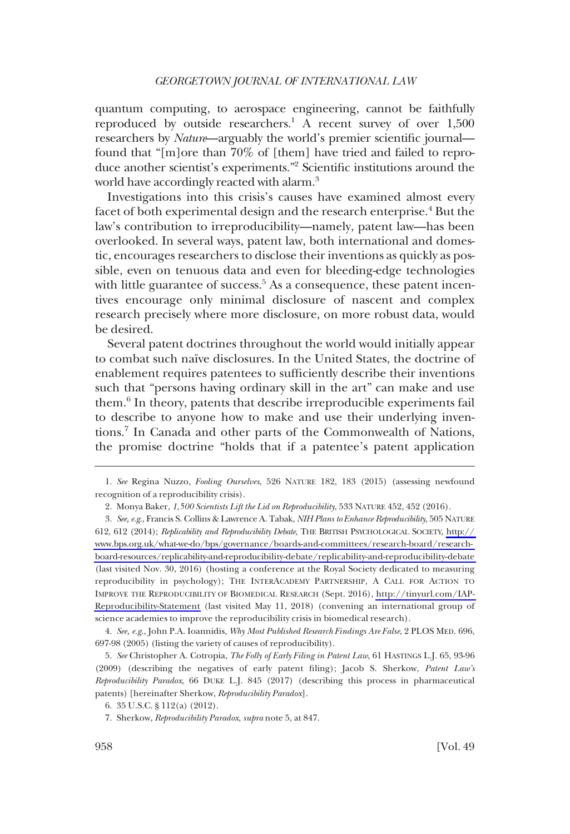quantum computing, to aerospace engineering, cannot be faithfully reproduced by outside researchers.<sup>1</sup> A recent survey of over  $1,500$ researchers by *Nature*—arguably the world's premier scientific journal found that "[m]ore than 70% of [them] have tried and failed to reproduce another scientist's experiments."2 Scientific institutions around the world have accordingly reacted with alarm.<sup>3</sup>

Investigations into this crisis's causes have examined almost every facet of both experimental design and the research enterprise.<sup>4</sup> But the law's contribution to irreproducibility—namely, patent law—has been overlooked. In several ways, patent law, both international and domestic, encourages researchers to disclose their inventions as quickly as possible, even on tenuous data and even for bleeding-edge technologies with little guarantee of success.<sup>5</sup> As a consequence, these patent incentives encourage only minimal disclosure of nascent and complex research precisely where more disclosure, on more robust data, would be desired.

Several patent doctrines throughout the world would initially appear to combat such naïve disclosures. In the United States, the doctrine of enablement requires patentees to sufficiently describe their inventions such that "persons having ordinary skill in the art" can make and use them.6 In theory, patents that describe irreproducible experiments fail to describe to anyone how to make and use their underlying inventions.7 In Canada and other parts of the Commonwealth of Nations, the promise doctrine "holds that if a patentee's patent application

4. See, e.g., John P.A. Ioannidis, Why Most Published Research Findings Are False, 2 PLOS MED. 696, 697-98 (2005) (listing the variety of causes of reproducibility).

5. See Christopher A. Cotropia, The Folly of Early Filing in Patent Law, 61 HASTINGS L.J. 65, 93-96 (2009) (describing the negatives of early patent filing); Jacob S. Sherkow, Patent Law's Reproducibility Paradox, 66 DUKE L.J. 845 (2017) (describing this process in pharmaceutical patents) [hereinafter Sherkow, Reproducibility Paradox].

<sup>1.</sup> See Regina Nuzzo, Fooling Ourselves, 526 NATURE 182, 183 (2015) (assessing newfound recognition of a reproducibility crisis).

<sup>2.</sup> Monya Baker, 1,500 Scientists Lift the Lid on Reproducibility, 533 NATURE 452, 452 (2016).

<sup>3.</sup> *See, e.g.*, Francis S. Collins & Lawrence A. Tabak, *NIH Plans to Enhance Reproducibility,* 505 NATURE 612, 612 (2014); Replicability and Reproducibility Debate, THE BRITISH PSYCHOLOGICAL SOCIETY, [http://](http://www.bps.org.uk/what-we-do/bps/governance/boards-and-committees/research-board/research-board-resources/replicability-and-reproducibility-debate/replicability-and-reproducibility-debate) [www.bps.org.uk/what-we-do/bps/governance/boards-and-committees/research-board/research](http://www.bps.org.uk/what-we-do/bps/governance/boards-and-committees/research-board/research-board-resources/replicability-and-reproducibility-debate/replicability-and-reproducibility-debate)[board-resources/replicability-and-reproducibility-debate/replicability-and-reproducibility-debate](http://www.bps.org.uk/what-we-do/bps/governance/boards-and-committees/research-board/research-board-resources/replicability-and-reproducibility-debate/replicability-and-reproducibility-debate)  (last visited Nov. 30, 2016) (hosting a conference at the Royal Society dedicated to measuring reproducibility in psychology); THE INTERACADEMY PARTNERSHIP, A CALL FOR ACTION TO IMPROVE THE REPRODUCIBILITY OF BIOMEDICAL RESEARCH (Sept. 2016), [http://tinyurl.com/IAP-](http://tinyurl.com/IAP-Reproducibility-Statement)[Reproducibility-Statement](http://tinyurl.com/IAP-Reproducibility-Statement) (last visited May 11, 2018) (convening an international group of science academies to improve the reproducibility crisis in biomedical research).

<sup>6. 35</sup> U.S.C. § 112(a) (2012).

<sup>7.</sup> Sherkow, Reproducibility Paradox, supra note 5, at 847.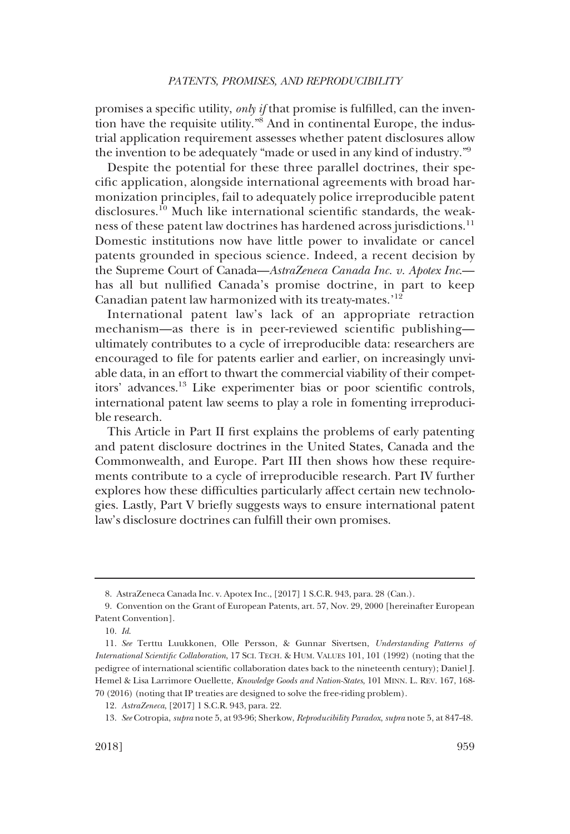promises a specific utility, only if that promise is fulfilled, can the invention have the requisite utility."8 And in continental Europe, the industrial application requirement assesses whether patent disclosures allow the invention to be adequately "made or used in any kind of industry."9

Despite the potential for these three parallel doctrines, their specific application, alongside international agreements with broad harmonization principles, fail to adequately police irreproducible patent disclosures.<sup>10</sup> Much like international scientific standards, the weakness of these patent law doctrines has hardened across jurisdictions.<sup>11</sup> Domestic institutions now have little power to invalidate or cancel patents grounded in specious science. Indeed, a recent decision by the Supreme Court of Canada—AstraZeneca Canada Inc. v. Apotex Inc. has all but nullified Canada's promise doctrine, in part to keep Canadian patent law harmonized with its treaty-mates.'<sup>12</sup>

International patent law's lack of an appropriate retraction mechanism—as there is in peer-reviewed scientific publishing ultimately contributes to a cycle of irreproducible data: researchers are encouraged to file for patents earlier and earlier, on increasingly unviable data, in an effort to thwart the commercial viability of their competitors' advances.13 Like experimenter bias or poor scientific controls, international patent law seems to play a role in fomenting irreproducible research.

This Article in Part II first explains the problems of early patenting and patent disclosure doctrines in the United States, Canada and the Commonwealth, and Europe. Part III then shows how these requirements contribute to a cycle of irreproducible research. Part IV further explores how these difficulties particularly affect certain new technologies. Lastly, Part V briefly suggests ways to ensure international patent law's disclosure doctrines can fulfill their own promises.

<sup>8.</sup> AstraZeneca Canada Inc. v. Apotex Inc., [2017] 1 S.C.R. 943, para. 28 (Can.).

<sup>9.</sup> Convention on the Grant of European Patents, art. 57, Nov. 29, 2000 [hereinafter European Patent Convention].

<sup>10.</sup> Id.

<sup>11.</sup> See Terttu Luukkonen, Olle Persson, & Gunnar Sivertsen, Understanding Patterns of International Scientific Collaboration, 17 SCI. TECH. & HUM. VALUES 101, 101 (1992) (noting that the pedigree of international scientific collaboration dates back to the nineteenth century); Daniel J. Hemel & Lisa Larrimore Ouellette, Knowledge Goods and Nation-States, 101 MINN. L. REV. 167, 168-70 (2016) (noting that IP treaties are designed to solve the free-riding problem).

<sup>12.</sup> AstraZeneca, [2017] 1 S.C.R. 943, para. 22.

<sup>13.</sup> See Cotropia, supra note 5, at 93-96; Sherkow, Reproducibility Paradox, supra note 5, at 847-48.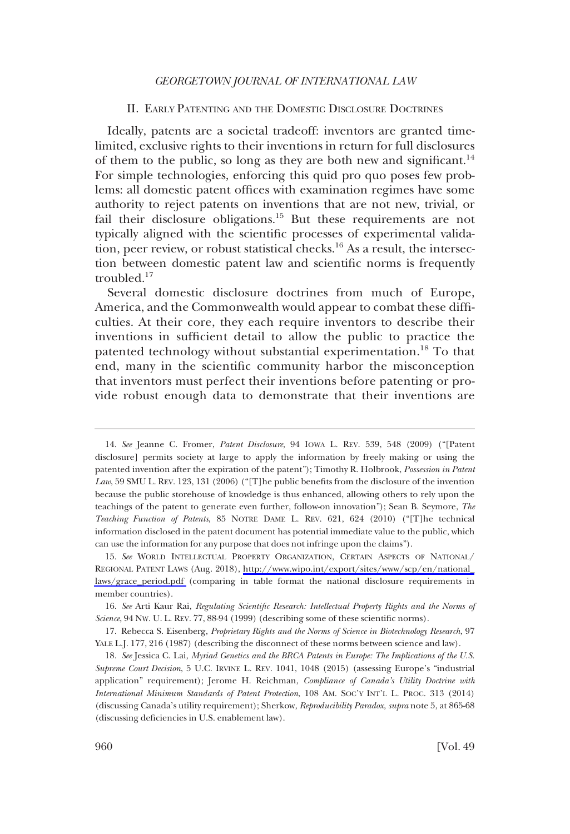### II. EARLY PATENTING AND THE DOMESTIC DISCLOSURE DOCTRINES

<span id="page-3-0"></span>Ideally, patents are a societal tradeoff: inventors are granted timelimited, exclusive rights to their inventions in return for full disclosures of them to the public, so long as they are both new and significant.<sup>14</sup> For simple technologies, enforcing this quid pro quo poses few problems: all domestic patent offices with examination regimes have some authority to reject patents on inventions that are not new, trivial, or fail their disclosure obligations.<sup>15</sup> But these requirements are not typically aligned with the scientific processes of experimental validation, peer review, or robust statistical checks.16 As a result, the intersection between domestic patent law and scientific norms is frequently troubled.17

Several domestic disclosure doctrines from much of Europe, America, and the Commonwealth would appear to combat these difficulties. At their core, they each require inventors to describe their inventions in sufficient detail to allow the public to practice the patented technology without substantial experimentation.<sup>18</sup> To that end, many in the scientific community harbor the misconception that inventors must perfect their inventions before patenting or provide robust enough data to demonstrate that their inventions are

<sup>14.</sup> See Jeanne C. Fromer, Patent Disclosure, 94 IOWA L. REV. 539, 548 (2009) ("[Patent disclosure] permits society at large to apply the information by freely making or using the patented invention after the expiration of the patent"); Timothy R. Holbrook, Possession in Patent Law, 59 SMU L. REV. 123, 131 (2006) ("[T]he public benefits from the disclosure of the invention because the public storehouse of knowledge is thus enhanced, allowing others to rely upon the teachings of the patent to generate even further, follow-on innovation"); Sean B. Seymore, The Teaching Function of Patents, 85 NOTRE DAME L. REV. 621, 624 (2010) ("[T]he technical information disclosed in the patent document has potential immediate value to the public, which can use the information for any purpose that does not infringe upon the claims").

<sup>15.</sup> See WORLD INTELLECTUAL PROPERTY ORGANIZATION, CERTAIN ASPECTS OF NATIONAL/ REGIONAL PATENT LAWS (Aug. 2018), [http://www.wipo.int/export/sites/www/scp/en/national\\_](http://www.wipo.int/export/sites/www/scp/en/national_laws/grace_period.pdf) laws/grace period.pdf (comparing in table format the national disclosure requirements in member countries).

<sup>16.</sup> See Arti Kaur Rai, Regulating Scientific Research: Intellectual Property Rights and the Norms of Science, 94 NW. U. L. REV. 77, 88-94 (1999) (describing some of these scientific norms).

<sup>17.</sup> Rebecca S. Eisenberg, Proprietary Rights and the Norms of Science in Biotechnology Research, 97 YALE L.J. 177, 216 (1987) (describing the disconnect of these norms between science and law).

<sup>18.</sup> See Jessica C. Lai, Myriad Genetics and the BRCA Patents in Europe: The Implications of the U.S. Supreme Court Decision, 5 U.C. IRVINE L. REV. 1041, 1048 (2015) (assessing Europe's "industrial application" requirement); Jerome H. Reichman, Compliance of Canada's Utility Doctrine with International Minimum Standards of Patent Protection, 108 AM. SOC'Y INT'L L. PROC. 313 (2014) (discussing Canada's utility requirement); Sherkow, Reproducibility Paradox, supra note 5, at 865-68 (discussing deficiencies in U.S. enablement law).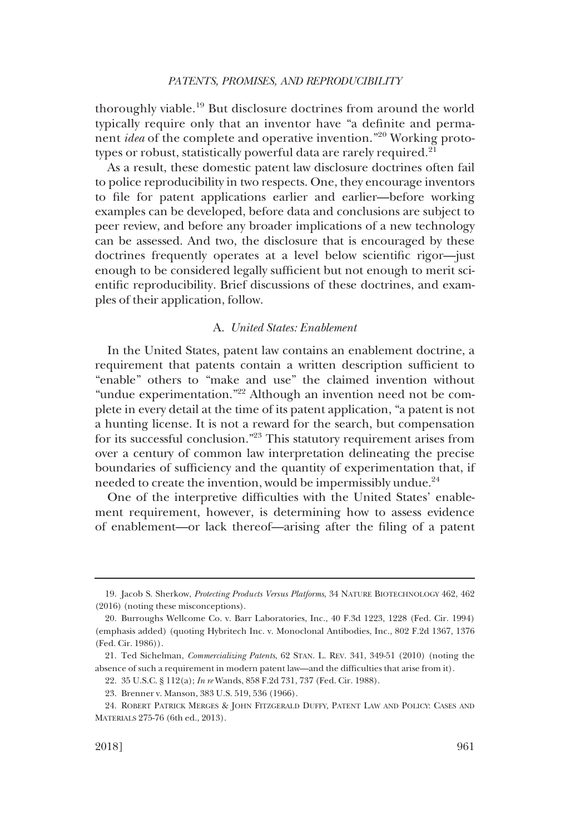<span id="page-4-0"></span>thoroughly viable.19 But disclosure doctrines from around the world typically require only that an inventor have "a definite and permanent idea of the complete and operative invention."<sup>20</sup> Working prototypes or robust, statistically powerful data are rarely required.<sup>21</sup>

As a result, these domestic patent law disclosure doctrines often fail to police reproducibility in two respects. One, they encourage inventors to file for patent applications earlier and earlier—before working examples can be developed, before data and conclusions are subject to peer review, and before any broader implications of a new technology can be assessed. And two, the disclosure that is encouraged by these doctrines frequently operates at a level below scientific rigor—just enough to be considered legally sufficient but not enough to merit scientific reproducibility. Brief discussions of these doctrines, and examples of their application, follow.

# A. United States: Enablement

In the United States, patent law contains an enablement doctrine, a requirement that patents contain a written description sufficient to "enable" others to "make and use" the claimed invention without "undue experimentation."<sup>22</sup> Although an invention need not be complete in every detail at the time of its patent application, "a patent is not a hunting license. It is not a reward for the search, but compensation for its successful conclusion."23 This statutory requirement arises from over a century of common law interpretation delineating the precise boundaries of sufficiency and the quantity of experimentation that, if needed to create the invention, would be impermissibly undue.<sup>24</sup>

One of the interpretive difficulties with the United States' enablement requirement, however, is determining how to assess evidence of enablement—or lack thereof—arising after the filing of a patent

<sup>19.</sup> Jacob S. Sherkow, Protecting Products Versus Platforms, 34 NATURE BIOTECHNOLOGY 462, 462 (2016) (noting these misconceptions).

<sup>20.</sup> Burroughs Wellcome Co. v. Barr Laboratories, Inc., 40 F.3d 1223, 1228 (Fed. Cir. 1994) (emphasis added) (quoting Hybritech Inc. v. Monoclonal Antibodies, Inc., 802 F.2d 1367, 1376 (Fed. Cir. 1986)).

<sup>21.</sup> Ted Sichelman, Commercializing Patents, 62 STAN. L. REV. 341, 349-51 (2010) (noting the absence of such a requirement in modern patent law—and the difficulties that arise from it).

<sup>22. 35</sup> U.S.C. § 112(a); In re Wands, 858 F.2d 731, 737 (Fed. Cir. 1988).

<sup>23.</sup> Brenner v. Manson, 383 U.S. 519, 536 (1966).

<sup>24.</sup> ROBERT PATRICK MERGES & JOHN FITZGERALD DUFFY, PATENT LAW AND POLICY: CASES AND MATERIALS 275-76 (6th ed., 2013).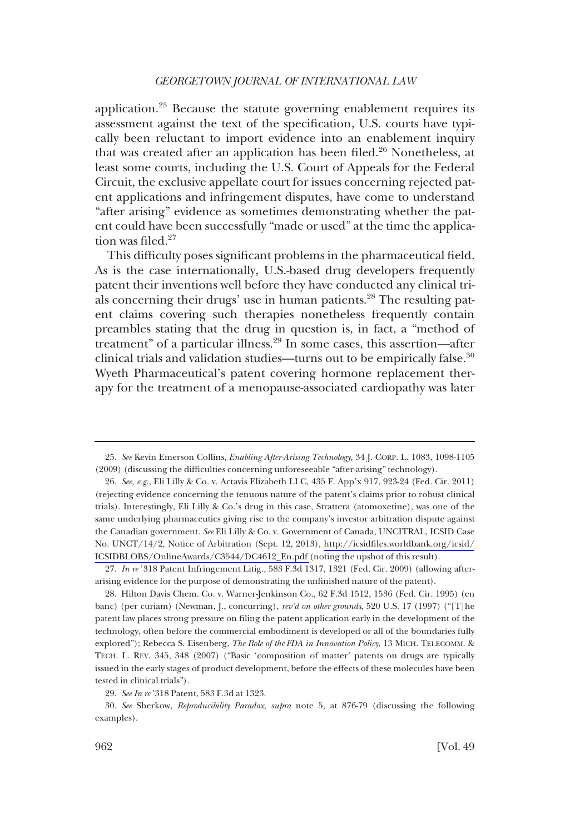application.<sup>25</sup> Because the statute governing enablement requires its assessment against the text of the specification, U.S. courts have typically been reluctant to import evidence into an enablement inquiry that was created after an application has been filed.<sup>26</sup> Nonetheless, at least some courts, including the U.S. Court of Appeals for the Federal Circuit, the exclusive appellate court for issues concerning rejected patent applications and infringement disputes, have come to understand "after arising" evidence as sometimes demonstrating whether the patent could have been successfully "made or used" at the time the application was filed.<sup>27</sup>

This difficulty poses significant problems in the pharmaceutical field. As is the case internationally, U.S.-based drug developers frequently patent their inventions well before they have conducted any clinical trials concerning their drugs' use in human patients.<sup>28</sup> The resulting patent claims covering such therapies nonetheless frequently contain preambles stating that the drug in question is, in fact, a "method of treatment" of a particular illness.29 In some cases, this assertion—after clinical trials and validation studies—turns out to be empirically false. $30$ Wyeth Pharmaceutical's patent covering hormone replacement therapy for the treatment of a menopause-associated cardiopathy was later

<sup>25.</sup> See Kevin Emerson Collins, Enabling After-Arising Technology, 34 J. CORP. L. 1083, 1098-1105 (2009) (discussing the difficulties concerning unforeseeable "after-arising" technology).

<sup>26.</sup> *See, e.g.*, Eli Lilly & Co. v. Actavis Elizabeth LLC, 435 F. App'x 917, 923-24 (Fed. Cir. 2011) (rejecting evidence concerning the tenuous nature of the patent's claims prior to robust clinical trials). Interestingly, Eli Lilly & Co.'s drug in this case, Strattera (atomoxetine), was one of the same underlying pharmaceutics giving rise to the company's investor arbitration dispute against the Canadian government. See Eli Lilly & Co. v. Government of Canada, UNCITRAL, ICSID Case No. UNCT/14/2, Notice of Arbitration (Sept. 12, 2013), [http://icsidfiles.worldbank.org/icsid/](http://icsidfiles.worldbank.org/icsid/ICSIDBLOBS/OnlineAwards/C3544/DC4612_En.pdf) [ICSIDBLOBS/OnlineAwards/C3544/DC4612\\_En.pdf](http://icsidfiles.worldbank.org/icsid/ICSIDBLOBS/OnlineAwards/C3544/DC4612_En.pdf) (noting the upshot of this result).

<sup>27.</sup> In re '318 Patent Infringement Litig., 583 F.3d 1317, 1321 (Fed. Cir. 2009) (allowing afterarising evidence for the purpose of demonstrating the unfinished nature of the patent).

<sup>28.</sup> Hilton Davis Chem. Co. v. Warner-Jenkinson Co., 62 F.3d 1512, 1536 (Fed. Cir. 1995) (en banc) (per curiam) (Newman, J., concurring), rev'd on other grounds, 520 U.S. 17 (1997) ("[T]he patent law places strong pressure on filing the patent application early in the development of the technology, often before the commercial embodiment is developed or all of the boundaries fully explored"); Rebecca S. Eisenberg, The Role of the FDA in Innovation Policy, 13 MICH. TELECOMM. & TECH. L. REV. 345, 348 (2007) ("Basic 'composition of matter' patents on drugs are typically issued in the early stages of product development, before the effects of these molecules have been tested in clinical trials").

<sup>29.</sup> See In re '318 Patent, 583 F.3d at 1323.

<sup>30.</sup> See Sherkow, Reproducibility Paradox, supra note 5, at 876-79 (discussing the following examples).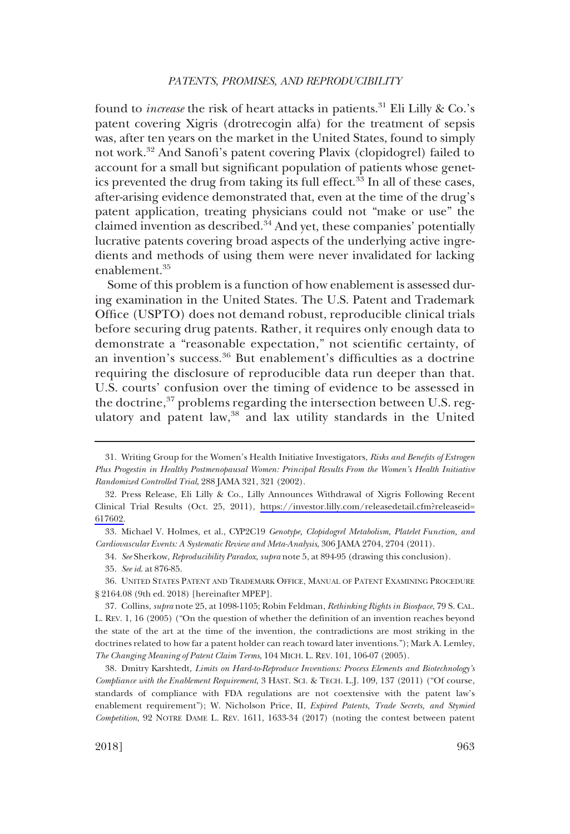found to *increase* the risk of heart attacks in patients.<sup>31</sup> Eli Lilly & Co.'s patent covering Xigris (drotrecogin alfa) for the treatment of sepsis was, after ten years on the market in the United States, found to simply not work.32 And Sanofi's patent covering Plavix (clopidogrel) failed to account for a small but significant population of patients whose genetics prevented the drug from taking its full effect. $33$  In all of these cases, after-arising evidence demonstrated that, even at the time of the drug's patent application, treating physicians could not "make or use" the claimed invention as described.34 And yet, these companies' potentially lucrative patents covering broad aspects of the underlying active ingredients and methods of using them were never invalidated for lacking enablement.<sup>35</sup>

Some of this problem is a function of how enablement is assessed during examination in the United States. The U.S. Patent and Trademark Office (USPTO) does not demand robust, reproducible clinical trials before securing drug patents. Rather, it requires only enough data to demonstrate a "reasonable expectation," not scientific certainty, of an invention's success.<sup>36</sup> But enablement's difficulties as a doctrine requiring the disclosure of reproducible data run deeper than that. U.S. courts' confusion over the timing of evidence to be assessed in the doctrine, $37$  problems regarding the intersection between U.S. regulatory and patent law,<sup>38</sup> and lax utility standards in the United

<sup>31.</sup> Writing Group for the Women's Health Initiative Investigators, Risks and Benefits of Estrogen Plus Progestin in Healthy Postmenopausal Women: Principal Results From the Women's Health Initiative Randomized Controlled Trial, 288 JAMA 321, 321 (2002).

<sup>32.</sup> Press Release, Eli Lilly & Co., Lilly Announces Withdrawal of Xigris Following Recent Clinical Trial Results (Oct. 25, 2011), [https://investor.lilly.com/releasedetail.cfm?releaseid=](https://investor.lilly.com/releasedetail.cfm?releaseid=617602) [617602.](https://investor.lilly.com/releasedetail.cfm?releaseid=617602)

<sup>33.</sup> Michael V. Holmes, et al., CYP2C19 Genotype, Clopidogrel Metabolism, Platelet Function, and Cardiovascular Events: A Systematic Review and Meta-Analysis, 306 JAMA 2704, 2704 (2011).

<sup>34.</sup> See Sherkow, Reproducibility Paradox, supra note 5, at 894-95 (drawing this conclusion).

<sup>35.</sup> See id. at 876-85.

<sup>36.</sup> UNITED STATES PATENT AND TRADEMARK OFFICE, MANUAL OF PATENT EXAMINING PROCEDURE § 2164.08 (9th ed. 2018) [hereinafter MPEP].

<sup>37.</sup> Collins, supra note 25, at 1098-1105; Robin Feldman, Rethinking Rights in Biospace, 79 S. CAL. L. REV. 1, 16 (2005) ("On the question of whether the definition of an invention reaches beyond the state of the art at the time of the invention, the contradictions are most striking in the doctrines related to how far a patent holder can reach toward later inventions."); Mark A. Lemley, The Changing Meaning of Patent Claim Terms, 104 MICH. L. REV. 101, 106-07 (2005).

<sup>38.</sup> Dmitry Karshtedt, Limits on Hard-to-Reproduce Inventions: Process Elements and Biotechnology's Compliance with the Enablement Requirement,3HAST. SCI.&TECH. L.J. 109, 137 (2011) ("Of course, standards of compliance with FDA regulations are not coextensive with the patent law's enablement requirement"); W. Nicholson Price, II, Expired Patents, Trade Secrets, and Stymied Competition, 92 NOTRE DAME L. REV. 1611, 1633-34 (2017) (noting the contest between patent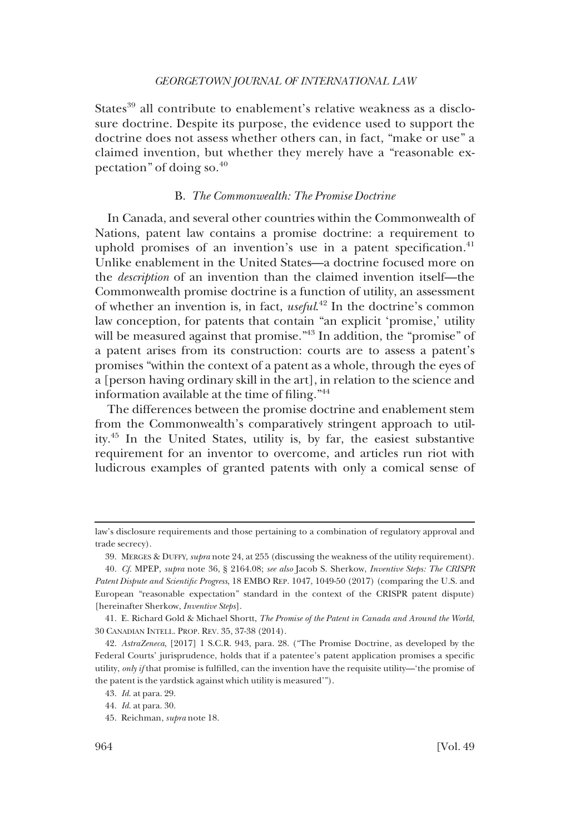<span id="page-7-0"></span>States<sup>39</sup> all contribute to enablement's relative weakness as a disclosure doctrine. Despite its purpose, the evidence used to support the doctrine does not assess whether others can, in fact, "make or use" a claimed invention, but whether they merely have a "reasonable expectation" of doing so. $^{40}$ 

# B. The Commonwealth: The Promise Doctrine

In Canada, and several other countries within the Commonwealth of Nations, patent law contains a promise doctrine: a requirement to uphold promises of an invention's use in a patent specification. $41$ Unlike enablement in the United States—a doctrine focused more on the description of an invention than the claimed invention itself—the Commonwealth promise doctrine is a function of utility, an assessment of whether an invention is, in fact, useful.<sup>42</sup> In the doctrine's common law conception, for patents that contain "an explicit 'promise,' utility will be measured against that promise."<sup>43</sup> In addition, the "promise" of a patent arises from its construction: courts are to assess a patent's promises "within the context of a patent as a whole, through the eyes of a [person having ordinary skill in the art], in relation to the science and information available at the time of filing."44

The differences between the promise doctrine and enablement stem from the Commonwealth's comparatively stringent approach to utility.45 In the United States, utility is, by far, the easiest substantive requirement for an inventor to overcome, and articles run riot with ludicrous examples of granted patents with only a comical sense of

law's disclosure requirements and those pertaining to a combination of regulatory approval and trade secrecy).

<sup>39.</sup> MERGES & DUFFY, supra note 24, at 255 (discussing the weakness of the utility requirement).

<sup>40.</sup> Cf. MPEP, supra note 36, § 2164.08; see also Jacob S. Sherkow, Inventive Steps: The CRISPR Patent Dispute and Scientific Progress, 18 EMBO REP. 1047, 1049-50 (2017) (comparing the U.S. and European "reasonable expectation" standard in the context of the CRISPR patent dispute) [hereinafter Sherkow, *Inventive Steps*].

<sup>41.</sup> E. Richard Gold & Michael Shortt, The Promise of the Patent in Canada and Around the World, 30 CANADIAN INTELL. PROP. REV. 35, 37-38 (2014).

<sup>42.</sup> AstraZeneca, [2017] 1 S.C.R. 943, para. 28. ("The Promise Doctrine, as developed by the Federal Courts' jurisprudence, holds that if a patentee's patent application promises a specific utility, only if that promise is fulfilled, can the invention have the requisite utility—'the promise of the patent is the yardstick against which utility is measured'").

<sup>43.</sup> Id. at para. 29.

<sup>44.</sup> Id. at para. 30.

<sup>45.</sup> Reichman, supra note 18.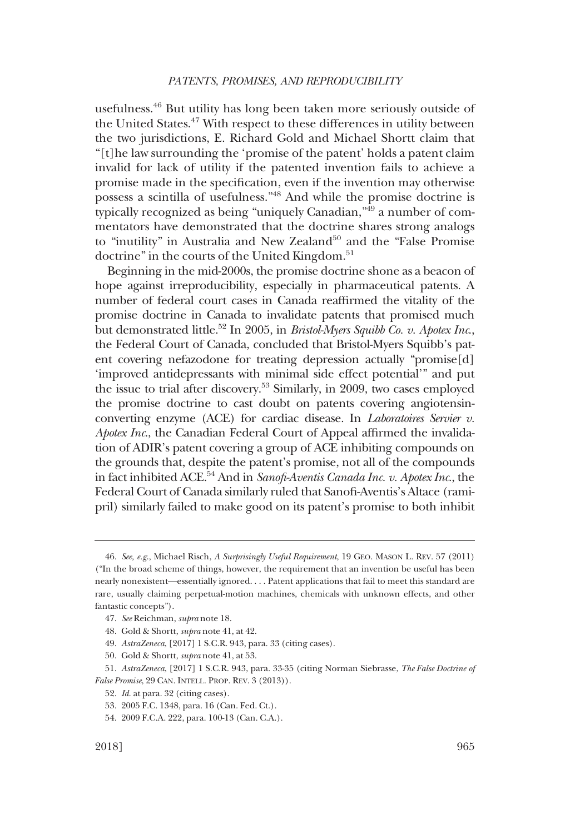usefulness.46 But utility has long been taken more seriously outside of the United States.<sup>47</sup> With respect to these differences in utility between the two jurisdictions, E. Richard Gold and Michael Shortt claim that "[t]he law surrounding the 'promise of the patent' holds a patent claim invalid for lack of utility if the patented invention fails to achieve a promise made in the specification, even if the invention may otherwise possess a scintilla of usefulness."48 And while the promise doctrine is typically recognized as being "uniquely Canadian,"49 a number of commentators have demonstrated that the doctrine shares strong analogs to "inutility" in Australia and New Zealand<sup>50</sup> and the "False Promise" doctrine" in the courts of the United Kingdom.<sup>51</sup>

Beginning in the mid-2000s, the promise doctrine shone as a beacon of hope against irreproducibility, especially in pharmaceutical patents. A number of federal court cases in Canada reaffirmed the vitality of the promise doctrine in Canada to invalidate patents that promised much but demonstrated little.<sup>52</sup> In 2005, in *Bristol-Myers Squibb Co. v. Apotex Inc.*, the Federal Court of Canada, concluded that Bristol-Myers Squibb's patent covering nefazodone for treating depression actually "promise[d] 'improved antidepressants with minimal side effect potential'" and put the issue to trial after discovery.53 Similarly, in 2009, two cases employed the promise doctrine to cast doubt on patents covering angiotensinconverting enzyme (ACE) for cardiac disease. In Laboratoires Servier v. Apotex Inc., the Canadian Federal Court of Appeal affirmed the invalidation of ADIR's patent covering a group of ACE inhibiting compounds on the grounds that, despite the patent's promise, not all of the compounds in fact inhibited ACE.<sup>54</sup> And in Sanofi-Aventis Canada Inc. v. Apotex Inc., the Federal Court of Canada similarly ruled that Sanofi-Aventis's Altace (ramipril) similarly failed to make good on its patent's promise to both inhibit

<sup>46.</sup> See, e.g., Michael Risch, A Surprisingly Useful Requirement, 19 GEO. MASON L. REV. 57 (2011) ("In the broad scheme of things, however, the requirement that an invention be useful has been nearly nonexistent—essentially ignored. . . . Patent applications that fail to meet this standard are rare, usually claiming perpetual-motion machines, chemicals with unknown effects, and other fantastic concepts").

<sup>47.</sup> See Reichman, supra note 18.

<sup>48.</sup> Gold & Shortt, supra note 41, at 42.

<sup>49.</sup> AstraZeneca, [2017] 1 S.C.R. 943, para. 33 (citing cases).

<sup>50.</sup> Gold & Shortt, supra note 41, at 53.

<sup>51.</sup> AstraZeneca, [2017] 1 S.C.R. 943, para. 33-35 (citing Norman Siebrasse, The False Doctrine of False Promise, 29 CAN. INTELL. PROP. REV. 3 (2013)).

<sup>52.</sup> Id. at para. 32 (citing cases).

<sup>53. 2005</sup> F.C. 1348, para. 16 (Can. Fed. Ct.).

<sup>54. 2009</sup> F.C.A. 222, para. 100-13 (Can. C.A.).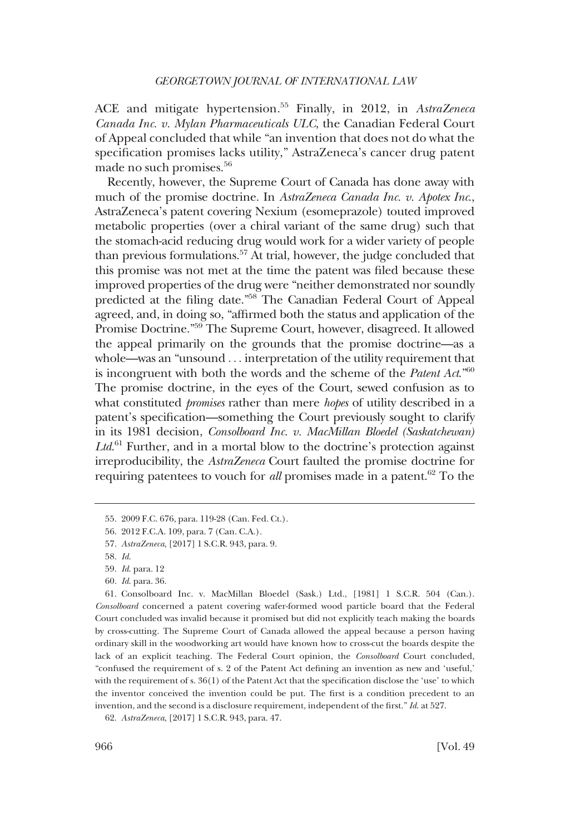ACE and mitigate hypertension.<sup>55</sup> Finally, in 2012, in AstraZeneca Canada Inc. v. Mylan Pharmaceuticals ULC, the Canadian Federal Court of Appeal concluded that while "an invention that does not do what the specification promises lacks utility," AstraZeneca's cancer drug patent made no such promises.<sup>56</sup>

Recently, however, the Supreme Court of Canada has done away with much of the promise doctrine. In AstraZeneca Canada Inc. v. Apotex Inc., AstraZeneca's patent covering Nexium (esomeprazole) touted improved metabolic properties (over a chiral variant of the same drug) such that the stomach-acid reducing drug would work for a wider variety of people than previous formulations.57 At trial, however, the judge concluded that this promise was not met at the time the patent was filed because these improved properties of the drug were "neither demonstrated nor soundly predicted at the filing date."58 The Canadian Federal Court of Appeal agreed, and, in doing so, "affirmed both the status and application of the Promise Doctrine."59 The Supreme Court, however, disagreed. It allowed the appeal primarily on the grounds that the promise doctrine—as a whole—was an "unsound ... interpretation of the utility requirement that is incongruent with both the words and the scheme of the *Patent Act.*<sup>"60</sup> The promise doctrine, in the eyes of the Court, sewed confusion as to what constituted *promises* rather than mere *hopes* of utility described in a patent's specification—something the Court previously sought to clarify in its 1981 decision, Consolboard Inc. v. MacMillan Bloedel (Saskatchewan)  $Ltd.$ <sup>61</sup> Further, and in a mortal blow to the doctrine's protection against irreproducibility, the AstraZeneca Court faulted the promise doctrine for requiring patentees to vouch for *all* promises made in a patent.<sup>62</sup> To the

61. Consolboard Inc. v. MacMillan Bloedel (Sask.) Ltd., [1981] 1 S.C.R. 504 (Can.). Consolboard concerned a patent covering wafer-formed wood particle board that the Federal Court concluded was invalid because it promised but did not explicitly teach making the boards by cross-cutting. The Supreme Court of Canada allowed the appeal because a person having ordinary skill in the woodworking art would have known how to cross-cut the boards despite the lack of an explicit teaching. The Federal Court opinion, the Consolboard Court concluded, "confused the requirement of s. 2 of the Patent Act defining an invention as new and 'useful,' with the requirement of s. 36(1) of the Patent Act that the specification disclose the 'use' to which the inventor conceived the invention could be put. The first is a condition precedent to an invention, and the second is a disclosure requirement, independent of the first." *Id.* at 527.

<sup>55. 2009</sup> F.C. 676, para. 119-28 (Can. Fed. Ct.).

<sup>56. 2012</sup> F.C.A. 109, para. 7 (Can. C.A.).

<sup>57.</sup> AstraZeneca, [2017] 1 S.C.R. 943, para. 9.

<sup>58.</sup> Id.

<sup>59.</sup> Id. para. 12

<sup>60.</sup> Id. para. 36.

<sup>62.</sup> AstraZeneca, [2017] 1 S.C.R. 943, para. 47.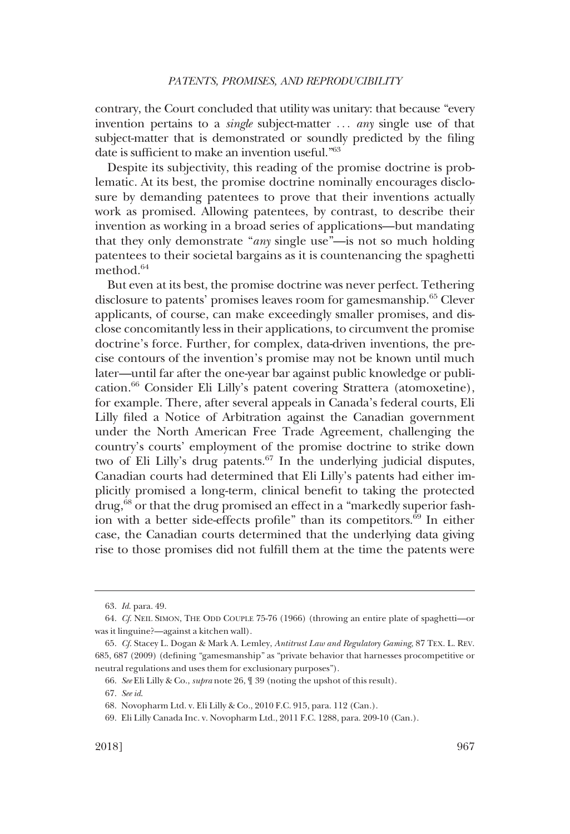contrary, the Court concluded that utility was unitary: that because "every invention pertains to a *single* subject-matter ... *any* single use of that subject-matter that is demonstrated or soundly predicted by the filing date is sufficient to make an invention useful."63

Despite its subjectivity, this reading of the promise doctrine is problematic. At its best, the promise doctrine nominally encourages disclosure by demanding patentees to prove that their inventions actually work as promised. Allowing patentees, by contrast, to describe their invention as working in a broad series of applications—but mandating that they only demonstrate "any single use"—is not so much holding patentees to their societal bargains as it is countenancing the spaghetti method.<sup>64</sup>

But even at its best, the promise doctrine was never perfect. Tethering disclosure to patents' promises leaves room for gamesmanship.<sup>65</sup> Clever applicants, of course, can make exceedingly smaller promises, and disclose concomitantly less in their applications, to circumvent the promise doctrine's force. Further, for complex, data-driven inventions, the precise contours of the invention's promise may not be known until much later—until far after the one-year bar against public knowledge or publication.66 Consider Eli Lilly's patent covering Strattera (atomoxetine), for example. There, after several appeals in Canada's federal courts, Eli Lilly filed a Notice of Arbitration against the Canadian government under the North American Free Trade Agreement, challenging the country's courts' employment of the promise doctrine to strike down two of Eli Lilly's drug patents. $67$  In the underlying judicial disputes, Canadian courts had determined that Eli Lilly's patents had either implicitly promised a long-term, clinical benefit to taking the protected drug,<sup>68</sup> or that the drug promised an effect in a "markedly superior fashion with a better side-effects profile" than its competitors.69 In either case, the Canadian courts determined that the underlying data giving rise to those promises did not fulfill them at the time the patents were

<sup>63.</sup> Id. para. 49.

<sup>64.</sup> Cf. NEIL SIMON, THE ODD COUPLE 75-76 (1966) (throwing an entire plate of spaghetti—or was it linguine?—against a kitchen wall).

<sup>65.</sup> Cf. Stacey L. Dogan & Mark A. Lemley, Antitrust Law and Regulatory Gaming, 87 TEX. L. REV. 685, 687 (2009) (defining "gamesmanship" as "private behavior that harnesses procompetitive or neutral regulations and uses them for exclusionary purposes").

<sup>66.</sup> See Eli Lilly & Co., supra note 26, ¶ 39 (noting the upshot of this result).

<sup>67.</sup> See id.

<sup>68.</sup> Novopharm Ltd. v. Eli Lilly & Co., 2010 F.C. 915, para. 112 (Can.).

<sup>69.</sup> Eli Lilly Canada Inc. v. Novopharm Ltd., 2011 F.C. 1288, para. 209-10 (Can.).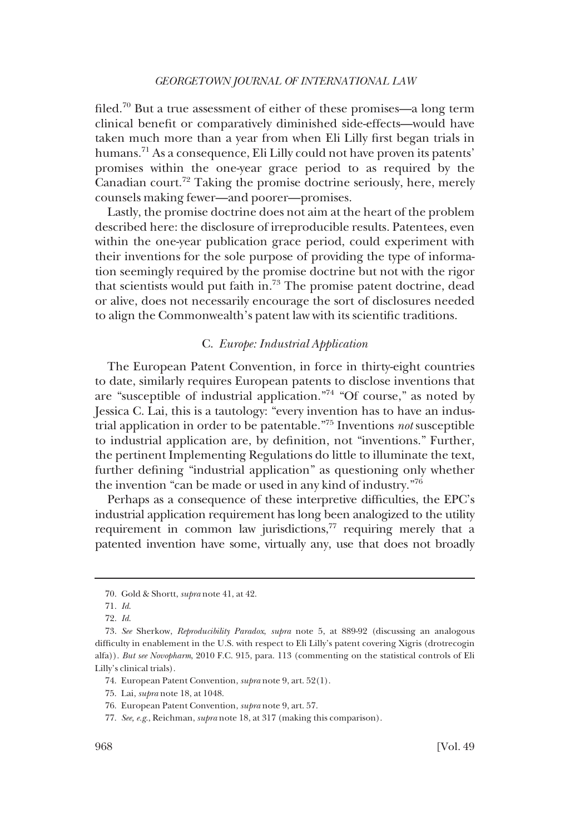<span id="page-11-0"></span>filed.<sup>70</sup> But a true assessment of either of these promises—a long term clinical benefit or comparatively diminished side-effects—would have taken much more than a year from when Eli Lilly first began trials in humans.<sup>71</sup> As a consequence, Eli Lilly could not have proven its patents' promises within the one-year grace period to as required by the Canadian court.<sup>72</sup> Taking the promise doctrine seriously, here, merely counsels making fewer—and poorer—promises.

Lastly, the promise doctrine does not aim at the heart of the problem described here: the disclosure of irreproducible results. Patentees, even within the one-year publication grace period, could experiment with their inventions for the sole purpose of providing the type of information seemingly required by the promise doctrine but not with the rigor that scientists would put faith in.73 The promise patent doctrine, dead or alive, does not necessarily encourage the sort of disclosures needed to align the Commonwealth's patent law with its scientific traditions.

# C. Europe: Industrial Application

The European Patent Convention, in force in thirty-eight countries to date, similarly requires European patents to disclose inventions that are "susceptible of industrial application."74 "Of course," as noted by Jessica C. Lai, this is a tautology: "every invention has to have an industrial application in order to be patentable."75 Inventions not susceptible to industrial application are, by definition, not "inventions." Further, the pertinent Implementing Regulations do little to illuminate the text, further defining "industrial application" as questioning only whether the invention "can be made or used in any kind of industry."76

Perhaps as a consequence of these interpretive difficulties, the EPC's industrial application requirement has long been analogized to the utility requirement in common law jurisdictions, $77$  requiring merely that a patented invention have some, virtually any, use that does not broadly

<sup>70.</sup> Gold & Shortt, supra note 41, at 42.

<sup>71.</sup> Id.

<sup>72.</sup> Id.

<sup>73.</sup> See Sherkow, Reproducibility Paradox, supra note 5, at 889-92 (discussing an analogous difficulty in enablement in the U.S. with respect to Eli Lilly's patent covering Xigris (drotrecogin alfa)). But see Novopharm, 2010 F.C. 915, para. 113 (commenting on the statistical controls of Eli Lilly's clinical trials).

<sup>74.</sup> European Patent Convention, supra note 9, art. 52(1).

<sup>75.</sup> Lai, supra note 18, at 1048.

<sup>76.</sup> European Patent Convention, supra note 9, art. 57.

<sup>77.</sup> See, e.g., Reichman, supra note 18, at 317 (making this comparison).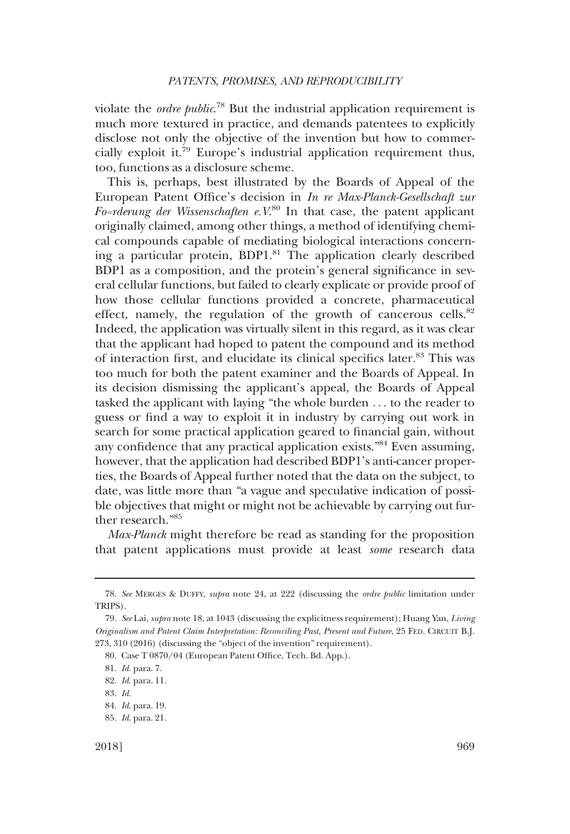violate the *ordre public*.<sup>78</sup> But the industrial application requirement is much more textured in practice, and demands patentees to explicitly disclose not only the objective of the invention but how to commercially exploit it.79 Europe's industrial application requirement thus, too, functions as a disclosure scheme.

This is, perhaps, best illustrated by the Boards of Appeal of the European Patent Office's decision in In re Max-Planck-Gesellschaft zur Fo«rderung der Wissenschaften e. $V^{80}$  In that case, the patent applicant originally claimed, among other things, a method of identifying chemical compounds capable of mediating biological interactions concerning a particular protein, BDP1.81 The application clearly described BDP1 as a composition, and the protein's general significance in several cellular functions, but failed to clearly explicate or provide proof of how those cellular functions provided a concrete, pharmaceutical effect, namely, the regulation of the growth of cancerous cells.<sup>82</sup> Indeed, the application was virtually silent in this regard, as it was clear that the applicant had hoped to patent the compound and its method of interaction first, and elucidate its clinical specifics later.<sup>83</sup> This was too much for both the patent examiner and the Boards of Appeal. In its decision dismissing the applicant's appeal, the Boards of Appeal tasked the applicant with laying "the whole burden ... to the reader to guess or find a way to exploit it in industry by carrying out work in search for some practical application geared to financial gain, without any confidence that any practical application exists."<sup>84</sup> Even assuming, however, that the application had described BDP1's anti-cancer properties, the Boards of Appeal further noted that the data on the subject, to date, was little more than "a vague and speculative indication of possible objectives that might or might not be achievable by carrying out further research."85

Max-Planck might therefore be read as standing for the proposition that patent applications must provide at least some research data

<sup>78.</sup> See MERGES & DUFFY, supra note 24, at 222 (discussing the ordre public limitation under TRIPS).

<sup>79.</sup> See Lai, supra note 18, at 1043 (discussing the explicitness requirement); Huang Yan, Living Originalism and Patent Claim Interpretation: Reconciling Past, Present and Future, 25 FED. CIRCUIT B.J. 273, 310 (2016) (discussing the "object of the invention" requirement).

<sup>80.</sup> Case T 0870/04 (European Patent Office, Tech. Bd. App.).

<sup>81.</sup> Id. para. 7.

<sup>82.</sup> Id. para. 11.

<sup>83.</sup> Id.

<sup>84.</sup> Id. para. 19.

<sup>85.</sup> Id. para. 21.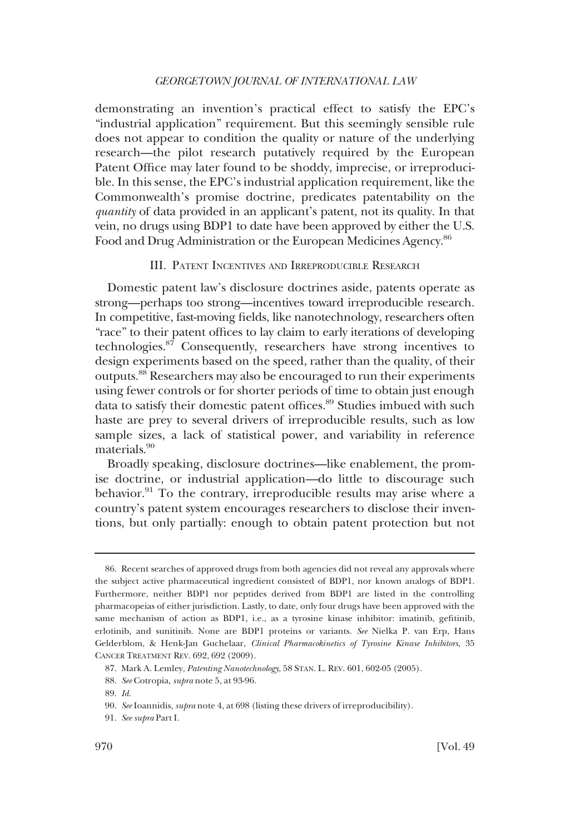<span id="page-13-0"></span>demonstrating an invention's practical effect to satisfy the EPC's "industrial application" requirement. But this seemingly sensible rule does not appear to condition the quality or nature of the underlying research—the pilot research putatively required by the European Patent Office may later found to be shoddy, imprecise, or irreproducible. In this sense, the EPC's industrial application requirement, like the Commonwealth's promise doctrine, predicates patentability on the quantity of data provided in an applicant's patent, not its quality. In that vein, no drugs using BDP1 to date have been approved by either the U.S. Food and Drug Administration or the European Medicines Agency.<sup>86</sup>

# III. PATENT INCENTIVES AND IRREPRODUCIBLE RESEARCH

Domestic patent law's disclosure doctrines aside, patents operate as strong—perhaps too strong—incentives toward irreproducible research. In competitive, fast-moving fields, like nanotechnology, researchers often "race" to their patent offices to lay claim to early iterations of developing technologies.87 Consequently, researchers have strong incentives to design experiments based on the speed, rather than the quality, of their outputs.88 Researchers may also be encouraged to run their experiments using fewer controls or for shorter periods of time to obtain just enough data to satisfy their domestic patent offices.<sup>89</sup> Studies imbued with such haste are prey to several drivers of irreproducible results, such as low sample sizes, a lack of statistical power, and variability in reference materials.90

Broadly speaking, disclosure doctrines—like enablement, the promise doctrine, or industrial application—do little to discourage such behavior.<sup>91</sup> To the contrary, irreproducible results may arise where a country's patent system encourages researchers to disclose their inventions, but only partially: enough to obtain patent protection but not

<sup>86.</sup> Recent searches of approved drugs from both agencies did not reveal any approvals where the subject active pharmaceutical ingredient consisted of BDP1, nor known analogs of BDP1. Furthermore, neither BDP1 nor peptides derived from BDP1 are listed in the controlling pharmacopeias of either jurisdiction. Lastly, to date, only four drugs have been approved with the same mechanism of action as BDP1, i.e., as a tyrosine kinase inhibitor: imatinib, gefitinib, erlotinib, and sunitinib. None are BDP1 proteins or variants. See Nielka P. van Erp, Hans Gelderblom, & Henk-Jan Guchelaar, Clinical Pharmacokinetics of Tyrosine Kinase Inhibitors, 35 CANCER TREATMENT REV. 692, 692 (2009).

<sup>87.</sup> Mark A. Lemley, Patenting Nanotechnology, 58 STAN. L. REV. 601, 602-05 (2005).

<sup>88.</sup> See Cotropia, supra note 5, at 93-96.

<sup>89.</sup> Id.

<sup>90.</sup> See Ioannidis, supra note 4, at 698 (listing these drivers of irreproducibility).

<sup>91.</sup> See supra Part I.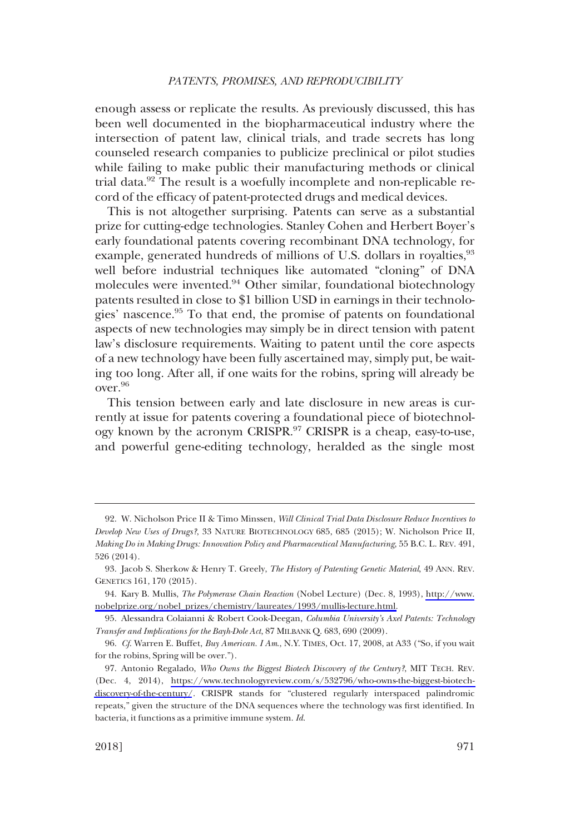enough assess or replicate the results. As previously discussed, this has been well documented in the biopharmaceutical industry where the intersection of patent law, clinical trials, and trade secrets has long counseled research companies to publicize preclinical or pilot studies while failing to make public their manufacturing methods or clinical trial data. $92$  The result is a woefully incomplete and non-replicable record of the efficacy of patent-protected drugs and medical devices.

This is not altogether surprising. Patents can serve as a substantial prize for cutting-edge technologies. Stanley Cohen and Herbert Boyer's early foundational patents covering recombinant DNA technology, for example, generated hundreds of millions of U.S. dollars in royalties,<sup>93</sup> well before industrial techniques like automated "cloning" of DNA molecules were invented.<sup>94</sup> Other similar, foundational biotechnology patents resulted in close to \$1 billion USD in earnings in their technologies' nascence.<sup>95</sup> To that end, the promise of patents on foundational aspects of new technologies may simply be in direct tension with patent law's disclosure requirements. Waiting to patent until the core aspects of a new technology have been fully ascertained may, simply put, be waiting too long. After all, if one waits for the robins, spring will already be over.96

This tension between early and late disclosure in new areas is currently at issue for patents covering a foundational piece of biotechnology known by the acronym CRISPR.<sup>97</sup> CRISPR is a cheap, easy-to-use, and powerful gene-editing technology, heralded as the single most

<sup>92.</sup> W. Nicholson Price II & Timo Minssen, Will Clinical Trial Data Disclosure Reduce Incentives to Develop New Uses of Drugs?, 33 NATURE BIOTECHNOLOGY 685, 685 (2015); W. Nicholson Price II, Making Do in Making Drugs: Innovation Policy and Pharmaceutical Manufacturing, 55 B.C. L. REV. 491, 526 (2014).

<sup>93.</sup> Jacob S. Sherkow & Henry T. Greely, The History of Patenting Genetic Material, 49 ANN. REV. GENETICS 161, 170 (2015).

<sup>94.</sup> Kary B. Mullis, *The Polymerase Chain Reaction* (Nobel Lecture) (Dec. 8, 1993), [http://www.](http://www.nobelprize.org/nobel_prizes/chemistry/laureates/1993/mullis-lecture.html) [nobelprize.org/nobel\\_prizes/chemistry/laureates/1993/mullis-lecture.html.](http://www.nobelprize.org/nobel_prizes/chemistry/laureates/1993/mullis-lecture.html)

<sup>95.</sup> Alessandra Colaianni & Robert Cook-Deegan, Columbia University's Axel Patents: Technology Transfer and Implications for the Bayh-Dole Act, 87 MILBANK Q. 683, 690 (2009).

<sup>96.</sup> Cf. Warren E. Buffet, Buy American. I Am., N.Y. TIMES, Oct. 17, 2008, at A33 ("So, if you wait for the robins, Spring will be over.").

<sup>97.</sup> Antonio Regalado, *Who Owns the Biggest Biotech Discovery of the Century?*, MIT TECH. REV. (Dec. 4, 2014), [https://www.technologyreview.com/s/532796/who-owns-the-biggest-biotech](https://www.technologyreview.com/s/532796/who-owns-the-biggest-biotech-discovery-of-the-century/)[discovery-of-the-century/](https://www.technologyreview.com/s/532796/who-owns-the-biggest-biotech-discovery-of-the-century/). CRISPR stands for "clustered regularly interspaced palindromic repeats," given the structure of the DNA sequences where the technology was first identified. In bacteria, it functions as a primitive immune system. Id.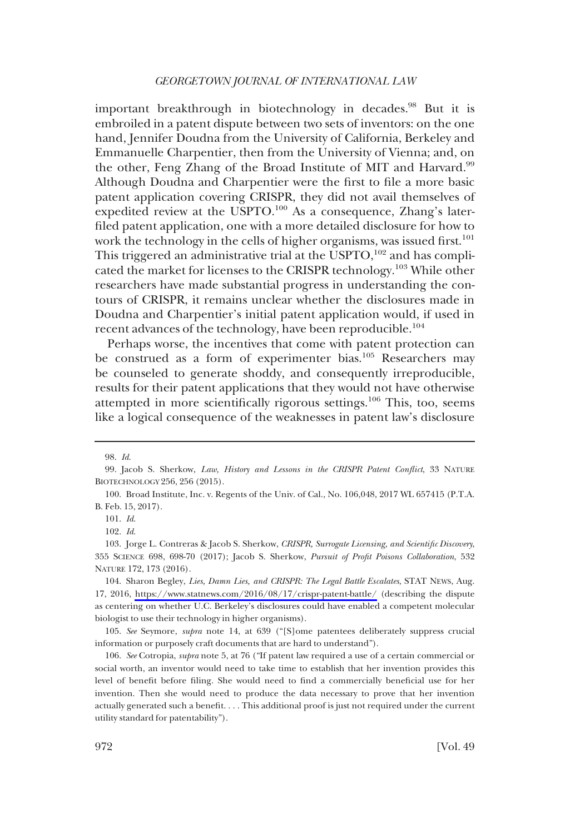important breakthrough in biotechnology in decades.<sup>98</sup> But it is embroiled in a patent dispute between two sets of inventors: on the one hand, Jennifer Doudna from the University of California, Berkeley and Emmanuelle Charpentier, then from the University of Vienna; and, on the other, Feng Zhang of the Broad Institute of MIT and Harvard.<sup>99</sup> Although Doudna and Charpentier were the first to file a more basic patent application covering CRISPR, they did not avail themselves of expedited review at the USPTO.<sup>100</sup> As a consequence, Zhang's laterfiled patent application, one with a more detailed disclosure for how to work the technology in the cells of higher organisms, was issued first.<sup>101</sup> This triggered an administrative trial at the USPTO,<sup>102</sup> and has complicated the market for licenses to the CRISPR technology.<sup>103</sup> While other researchers have made substantial progress in understanding the contours of CRISPR, it remains unclear whether the disclosures made in Doudna and Charpentier's initial patent application would, if used in recent advances of the technology, have been reproducible.<sup>104</sup>

Perhaps worse, the incentives that come with patent protection can be construed as a form of experimenter bias.<sup>105</sup> Researchers may be counseled to generate shoddy, and consequently irreproducible, results for their patent applications that they would not have otherwise attempted in more scientifically rigorous settings.<sup>106</sup> This, too, seems like a logical consequence of the weaknesses in patent law's disclosure

<sup>98.</sup> Id.

<sup>99.</sup> Jacob S. Sherkow, Law, History and Lessons in the CRISPR Patent Conflict, 33 NATURE BIOTECHNOLOGY 256, 256 (2015).

<sup>100.</sup> Broad Institute, Inc. v. Regents of the Univ. of Cal., No. 106,048, 2017 WL 657415 (P.T.A. B. Feb. 15, 2017).

<sup>101.</sup> Id.

<sup>102.</sup> Id.

<sup>103.</sup> Jorge L. Contreras & Jacob S. Sherkow, CRISPR, Surrogate Licensing, and Scientific Discovery, 355 SCIENCE 698, 698-70 (2017); Jacob S. Sherkow, Pursuit of Profit Poisons Collaboration, 532 NATURE 172, 173 (2016).

<sup>104.</sup> Sharon Begley, Lies, Damn Lies, and CRISPR: The Legal Battle Escalates, STAT NEws, Aug. 17, 2016, <https://www.statnews.com/2016/08/17/crispr-patent-battle/>(describing the dispute as centering on whether U.C. Berkeley's disclosures could have enabled a competent molecular biologist to use their technology in higher organisms).

<sup>105.</sup> See Seymore, supra note 14, at 639 ("[S]ome patentees deliberately suppress crucial information or purposely craft documents that are hard to understand").

<sup>106.</sup> See Cotropia, supra note 5, at 76 ("If patent law required a use of a certain commercial or social worth, an inventor would need to take time to establish that her invention provides this level of benefit before filing. She would need to find a commercially beneficial use for her invention. Then she would need to produce the data necessary to prove that her invention actually generated such a benefit. . . . This additional proof is just not required under the current utility standard for patentability").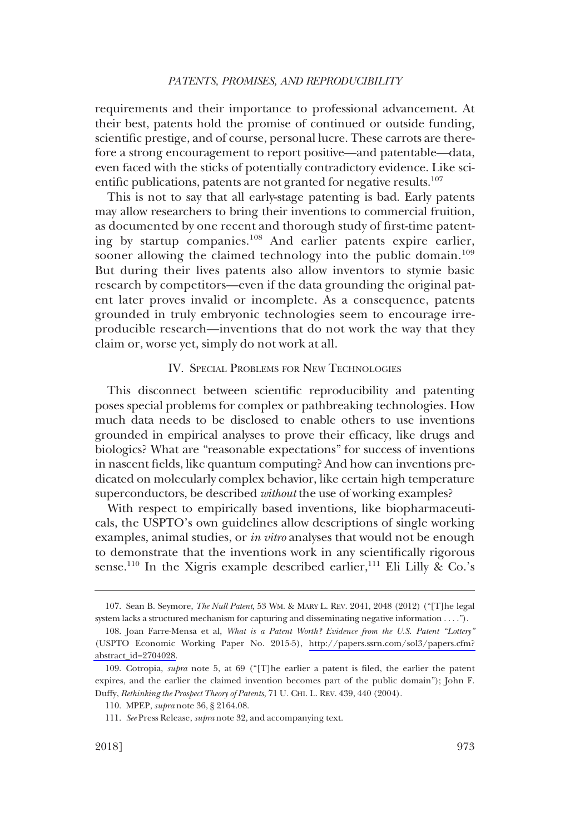<span id="page-16-0"></span>requirements and their importance to professional advancement. At their best, patents hold the promise of continued or outside funding, scientific prestige, and of course, personal lucre. These carrots are therefore a strong encouragement to report positive—and patentable—data, even faced with the sticks of potentially contradictory evidence. Like scientific publications, patents are not granted for negative results.<sup>107</sup>

This is not to say that all early-stage patenting is bad. Early patents may allow researchers to bring their inventions to commercial fruition, as documented by one recent and thorough study of first-time patenting by startup companies.<sup>108</sup> And earlier patents expire earlier, sooner allowing the claimed technology into the public domain.<sup>109</sup> But during their lives patents also allow inventors to stymie basic research by competitors—even if the data grounding the original patent later proves invalid or incomplete. As a consequence, patents grounded in truly embryonic technologies seem to encourage irreproducible research—inventions that do not work the way that they claim or, worse yet, simply do not work at all.

# IV. SPECIAL PROBLEMS FOR NEW TECHNOLOGIES

This disconnect between scientific reproducibility and patenting poses special problems for complex or pathbreaking technologies. How much data needs to be disclosed to enable others to use inventions grounded in empirical analyses to prove their efficacy, like drugs and biologics? What are "reasonable expectations" for success of inventions in nascent fields, like quantum computing? And how can inventions predicated on molecularly complex behavior, like certain high temperature superconductors, be described *without* the use of working examples?

With respect to empirically based inventions, like biopharmaceuticals, the USPTO's own guidelines allow descriptions of single working examples, animal studies, or *in vitro* analyses that would not be enough to demonstrate that the inventions work in any scientifically rigorous sense.<sup>110</sup> In the Xigris example described earlier,<sup>111</sup> Eli Lilly & Co.'s

<sup>107.</sup> Sean B. Seymore, *The Null Patent*, 53 WM. & MARY L. REV. 2041, 2048 (2012) ("[T]he legal system lacks a structured mechanism for capturing and disseminating negative information . . . .").

<sup>108.</sup> Joan Farre-Mensa et al, What is a Patent Worth? Evidence from the U.S. Patent "Lottery" (USPTO Economic Working Paper No. 2015-5), [http://papers.ssrn.com/sol3/papers.cfm?](http://papers.ssrn.com/sol3/papers.cfm?abstract_id=2704028)  [abstract\\_id=2704028.](http://papers.ssrn.com/sol3/papers.cfm?abstract_id=2704028)

<sup>109.</sup> Cotropia, supra note 5, at 69 ("[T]he earlier a patent is filed, the earlier the patent expires, and the earlier the claimed invention becomes part of the public domain"); John F. Duffy, Rethinking the Prospect Theory of Patents, 71 U. CHI. L. REV. 439, 440 (2004).

<sup>110.</sup> MPEP, supra note 36, § 2164.08.

<sup>111.</sup> See Press Release, supra note 32, and accompanying text.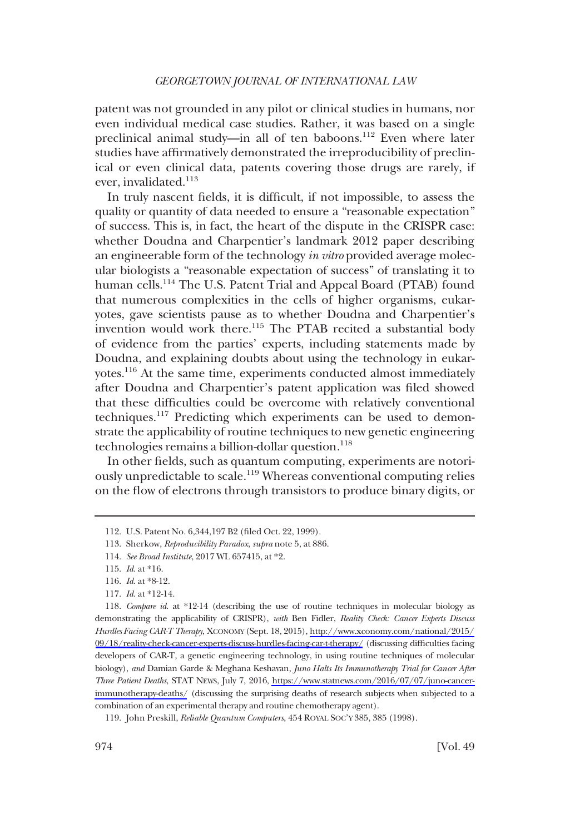patent was not grounded in any pilot or clinical studies in humans, nor even individual medical case studies. Rather, it was based on a single preclinical animal study—in all of ten baboons.<sup>112</sup> Even where later studies have affirmatively demonstrated the irreproducibility of preclinical or even clinical data, patents covering those drugs are rarely, if ever, invalidated.<sup>113</sup>

In truly nascent fields, it is difficult, if not impossible, to assess the quality or quantity of data needed to ensure a "reasonable expectation" of success. This is, in fact, the heart of the dispute in the CRISPR case: whether Doudna and Charpentier's landmark 2012 paper describing an engineerable form of the technology in vitro provided average molecular biologists a "reasonable expectation of success" of translating it to human cells.<sup>114</sup> The U.S. Patent Trial and Appeal Board (PTAB) found that numerous complexities in the cells of higher organisms, eukaryotes, gave scientists pause as to whether Doudna and Charpentier's invention would work there.<sup>115</sup> The PTAB recited a substantial body of evidence from the parties' experts, including statements made by Doudna, and explaining doubts about using the technology in eukaryotes.<sup>116</sup> At the same time, experiments conducted almost immediately after Doudna and Charpentier's patent application was filed showed that these difficulties could be overcome with relatively conventional techniques.117 Predicting which experiments can be used to demonstrate the applicability of routine techniques to new genetic engineering technologies remains a billion-dollar question. $118$ 

In other fields, such as quantum computing, experiments are notoriously unpredictable to scale.<sup>119</sup> Whereas conventional computing relies on the flow of electrons through transistors to produce binary digits, or

<sup>112.</sup> U.S. Patent No. 6,344,197 B2 (filed Oct. 22, 1999).

<sup>113.</sup> Sherkow, Reproducibility Paradox, supra note 5, at 886.

<sup>114.</sup> See Broad Institute, 2017 WL 657415, at \*2.

<sup>115.</sup> Id. at \*16.

<sup>116.</sup> Id. at \*8-12.

<sup>117.</sup> Id. at \*12-14.

<sup>118.</sup> Compare id. at \*12-14 (describing the use of routine techniques in molecular biology as demonstrating the applicability of CRISPR), with Ben Fidler, Reality Check: Cancer Experts Discuss Hurdles Facing CAR-T Therapy, XCONOMY (Sept. 18, 2015), [http://www.xconomy.com/national/2015/](http://www.xconomy.com/national/2015/09/18/reality-check-cancer-experts-discuss-hurdles-facing-car-t-therapy/) [09/18/reality-check-cancer-experts-discuss-hurdles-facing-car-t-therapy/](http://www.xconomy.com/national/2015/09/18/reality-check-cancer-experts-discuss-hurdles-facing-car-t-therapy/) (discussing difficulties facing developers of CAR-T, a genetic engineering technology, in using routine techniques of molecular biology), and Damian Garde & Meghana Keshavan, Juno Halts Its Immunotherapy Trial for Cancer After Three Patient Deaths, STAT NEWS, July 7, 2016, [https://www.statnews.com/2016/07/07/juno-cancer](https://www.statnews.com/2016/07/07/juno-cancer-immunotherapy-deaths/)[immunotherapy-deaths/](https://www.statnews.com/2016/07/07/juno-cancer-immunotherapy-deaths/) (discussing the surprising deaths of research subjects when subjected to a combination of an experimental therapy and routine chemotherapy agent).

<sup>119.</sup> John Preskill, Reliable Quantum Computers, 454 ROYAL SOC'Y 385, 385 (1998).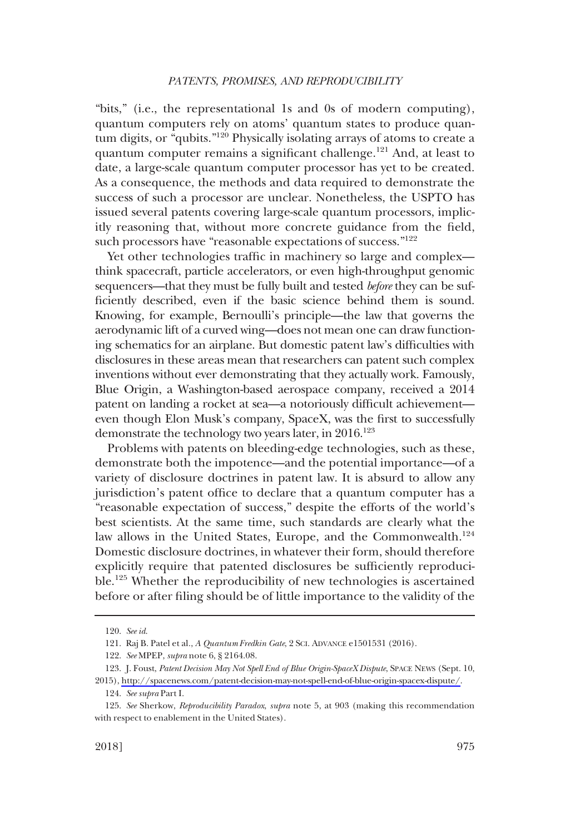"bits," (i.e., the representational 1s and 0s of modern computing), quantum computers rely on atoms' quantum states to produce quantum digits, or "qubits."120 Physically isolating arrays of atoms to create a quantum computer remains a significant challenge.<sup>121</sup> And, at least to date, a large-scale quantum computer processor has yet to be created. As a consequence, the methods and data required to demonstrate the success of such a processor are unclear. Nonetheless, the USPTO has issued several patents covering large-scale quantum processors, implicitly reasoning that, without more concrete guidance from the field, such processors have "reasonable expectations of success."<sup>122</sup>

Yet other technologies traffic in machinery so large and complex think spacecraft, particle accelerators, or even high-throughput genomic sequencers—that they must be fully built and tested before they can be sufficiently described, even if the basic science behind them is sound. Knowing, for example, Bernoulli's principle—the law that governs the aerodynamic lift of a curved wing—does not mean one can draw functioning schematics for an airplane. But domestic patent law's difficulties with disclosures in these areas mean that researchers can patent such complex inventions without ever demonstrating that they actually work. Famously, Blue Origin, a Washington-based aerospace company, received a 2014 patent on landing a rocket at sea—a notoriously difficult achievement even though Elon Musk's company, SpaceX, was the first to successfully demonstrate the technology two years later, in  $2016$ <sup>123</sup>

Problems with patents on bleeding-edge technologies, such as these, demonstrate both the impotence—and the potential importance—of a variety of disclosure doctrines in patent law. It is absurd to allow any jurisdiction's patent office to declare that a quantum computer has a "reasonable expectation of success," despite the efforts of the world's best scientists. At the same time, such standards are clearly what the law allows in the United States, Europe, and the Commonwealth.<sup>124</sup> Domestic disclosure doctrines, in whatever their form, should therefore explicitly require that patented disclosures be sufficiently reproducible.<sup>125</sup> Whether the reproducibility of new technologies is ascertained before or after filing should be of little importance to the validity of the

<sup>120.</sup> See id.

<sup>121.</sup> Raj B. Patel et al., A Quantum Fredkin Gate,2SCI. ADVANCE e1501531 (2016).

<sup>122.</sup> See MPEP, supra note 6, § 2164.08.

<sup>123.</sup> J. Foust, Patent Decision May Not Spell End of Blue Origin-SpaceX Dispute, SPACE NEWS (Sept. 10, 2015), <http://spacenews.com/patent-decision-may-not-spell-end-of-blue-origin-spacex-dispute/>.

<sup>124.</sup> See supra Part I.

<sup>125.</sup> See Sherkow, Reproducibility Paradox, supra note 5, at 903 (making this recommendation with respect to enablement in the United States).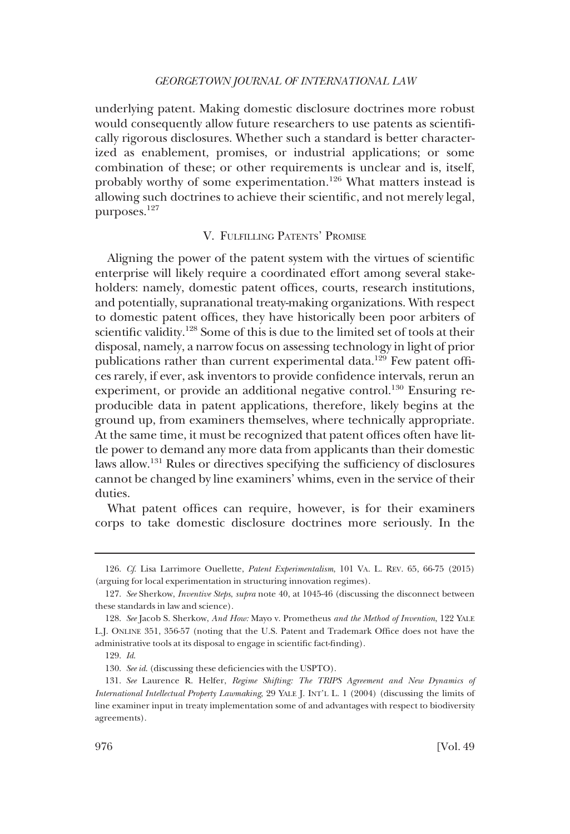<span id="page-19-0"></span>underlying patent. Making domestic disclosure doctrines more robust would consequently allow future researchers to use patents as scientifically rigorous disclosures. Whether such a standard is better characterized as enablement, promises, or industrial applications; or some combination of these; or other requirements is unclear and is, itself, probably worthy of some experimentation.<sup>126</sup> What matters instead is allowing such doctrines to achieve their scientific, and not merely legal, purposes.127

# V. FULFILLING PATENTS' PROMISE

Aligning the power of the patent system with the virtues of scientific enterprise will likely require a coordinated effort among several stakeholders: namely, domestic patent offices, courts, research institutions, and potentially, supranational treaty-making organizations. With respect to domestic patent offices, they have historically been poor arbiters of scientific validity.<sup>128</sup> Some of this is due to the limited set of tools at their disposal, namely, a narrow focus on assessing technology in light of prior publications rather than current experimental data.<sup>129</sup> Few patent offices rarely, if ever, ask inventors to provide confidence intervals, rerun an experiment, or provide an additional negative control.<sup>130</sup> Ensuring reproducible data in patent applications, therefore, likely begins at the ground up, from examiners themselves, where technically appropriate. At the same time, it must be recognized that patent offices often have little power to demand any more data from applicants than their domestic laws allow.131 Rules or directives specifying the sufficiency of disclosures cannot be changed by line examiners' whims, even in the service of their duties.

What patent offices can require, however, is for their examiners corps to take domestic disclosure doctrines more seriously. In the

<sup>126.</sup> Cf. Lisa Larrimore Ouellette, Patent Experimentalism, 101 VA. L. REV. 65, 66-75 (2015) (arguing for local experimentation in structuring innovation regimes).

<sup>127.</sup> See Sherkow, Inventive Steps, supra note 40, at 1045-46 (discussing the disconnect between these standards in law and science).

<sup>128.</sup> See Jacob S. Sherkow, And How: Mayo v. Prometheus and the Method of Invention, 122 YALE L.J. ONLINE 351, 356-57 (noting that the U.S. Patent and Trademark Office does not have the administrative tools at its disposal to engage in scientific fact-finding).

<sup>129.</sup> Id.

<sup>130.</sup> See id. (discussing these deficiencies with the USPTO).

<sup>131.</sup> See Laurence R. Helfer, Regime Shifting: The TRIPS Agreement and New Dynamics of International Intellectual Property Lawmaking, 29 YALE J. INT'L L. 1 (2004) (discussing the limits of line examiner input in treaty implementation some of and advantages with respect to biodiversity agreements).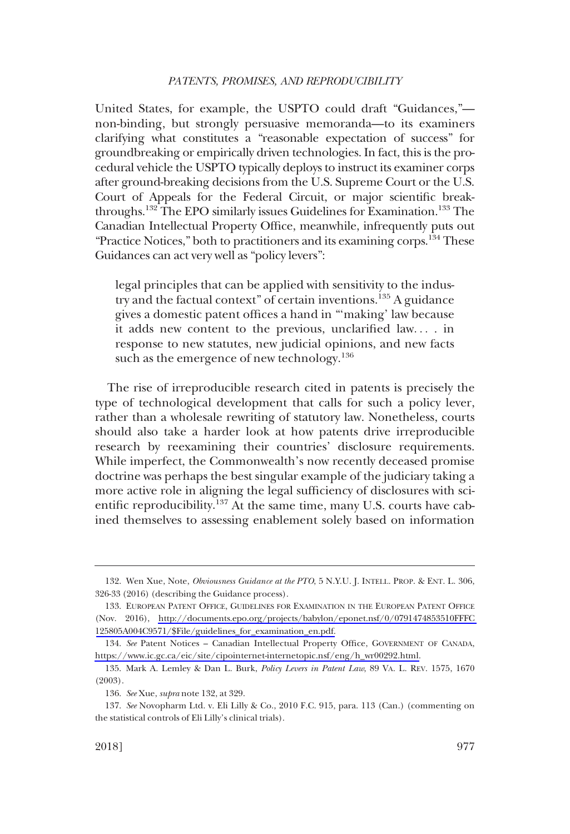United States, for example, the USPTO could draft "Guidances," non-binding, but strongly persuasive memoranda—to its examiners clarifying what constitutes a "reasonable expectation of success" for groundbreaking or empirically driven technologies. In fact, this is the procedural vehicle the USPTO typically deploys to instruct its examiner corps after ground-breaking decisions from the U.S. Supreme Court or the U.S. Court of Appeals for the Federal Circuit, or major scientific breakthroughs.<sup>132</sup> The EPO similarly issues Guidelines for Examination.<sup>133</sup> The Canadian Intellectual Property Office, meanwhile, infrequently puts out "Practice Notices," both to practitioners and its examining corps.<sup>134</sup> These Guidances can act very well as "policy levers":

legal principles that can be applied with sensitivity to the industry and the factual context" of certain inventions.<sup>135</sup> A guidance gives a domestic patent offices a hand in "'making' law because it adds new content to the previous, unclarified law... . in response to new statutes, new judicial opinions, and new facts such as the emergence of new technology.<sup>136</sup>

The rise of irreproducible research cited in patents is precisely the type of technological development that calls for such a policy lever, rather than a wholesale rewriting of statutory law. Nonetheless, courts should also take a harder look at how patents drive irreproducible research by reexamining their countries' disclosure requirements. While imperfect, the Commonwealth's now recently deceased promise doctrine was perhaps the best singular example of the judiciary taking a more active role in aligning the legal sufficiency of disclosures with scientific reproducibility.<sup>137</sup> At the same time, many U.S. courts have cabined themselves to assessing enablement solely based on information

<sup>132.</sup> Wen Xue, Note, Obviousness Guidance at the PTO, 5 N.Y.U. J. INTELL. PROP.&ENT. L. 306, 326-33 (2016) (describing the Guidance process).

<sup>133.</sup> EUROPEAN PATENT OFFICE, GUIDELINES FOR EXAMINATION IN THE EUROPEAN PATENT OFFICE (Nov. 2016), [http://documents.epo.org/projects/babylon/eponet.nsf/0/0791474853510FFFC](http://documents.epo.org/projects/babylon/eponet.nsf/0/0791474853510FFFC125805A004C9571/$File/guidelines_for_examination_en.pdf)  [125805A004C9571/\\$File/guidelines\\_for\\_examination\\_en.pdf.](http://documents.epo.org/projects/babylon/eponet.nsf/0/0791474853510FFFC125805A004C9571/$File/guidelines_for_examination_en.pdf)

<sup>134.</sup> See Patent Notices – Canadian Intellectual Property Office, GOVERNMENT OF CANADA, [https://www.ic.gc.ca/eic/site/cipointernet-internetopic.nsf/eng/h\\_wr00292.html.](https://www.ic.gc.ca/eic/site/cipointernet-internetopic.nsf/eng/h_wr00292.html)

<sup>135.</sup> Mark A. Lemley & Dan L. Burk, Policy Levers in Patent Law, 89 VA. L. REV. 1575, 1670 (2003).

<sup>136.</sup> See Xue, supra note 132, at 329.

<sup>137.</sup> See Novopharm Ltd. v. Eli Lilly & Co., 2010 F.C. 915, para. 113 (Can.) (commenting on the statistical controls of Eli Lilly's clinical trials).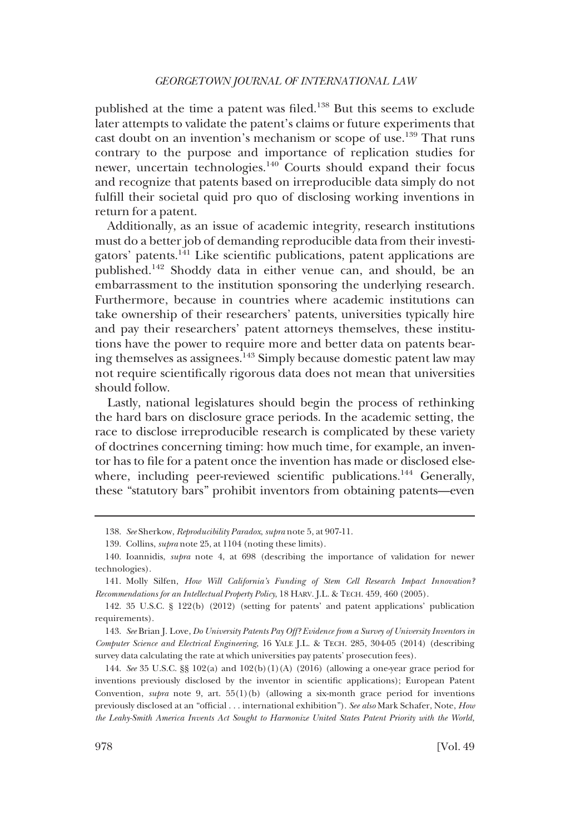published at the time a patent was filed.<sup>138</sup> But this seems to exclude later attempts to validate the patent's claims or future experiments that cast doubt on an invention's mechanism or scope of use.<sup>139</sup> That runs contrary to the purpose and importance of replication studies for newer, uncertain technologies.<sup>140</sup> Courts should expand their focus and recognize that patents based on irreproducible data simply do not fulfill their societal quid pro quo of disclosing working inventions in return for a patent.

Additionally, as an issue of academic integrity, research institutions must do a better job of demanding reproducible data from their investigators' patents.141 Like scientific publications, patent applications are published.142 Shoddy data in either venue can, and should, be an embarrassment to the institution sponsoring the underlying research. Furthermore, because in countries where academic institutions can take ownership of their researchers' patents, universities typically hire and pay their researchers' patent attorneys themselves, these institutions have the power to require more and better data on patents bearing themselves as assignees.143 Simply because domestic patent law may not require scientifically rigorous data does not mean that universities should follow.

Lastly, national legislatures should begin the process of rethinking the hard bars on disclosure grace periods. In the academic setting, the race to disclose irreproducible research is complicated by these variety of doctrines concerning timing: how much time, for example, an inventor has to file for a patent once the invention has made or disclosed elsewhere, including peer-reviewed scientific publications.<sup>144</sup> Generally, these "statutory bars" prohibit inventors from obtaining patents—even

143. See Brian J. Love, Do University Patents Pay Off? Evidence from a Survey of University Inventors in Computer Science and Electrical Engineering, 16 YALE J.L. & TECH. 285, 304-05 (2014) (describing survey data calculating the rate at which universities pay patents' prosecution fees).

144. See 35 U.S.C. §§ 102(a) and 102(b)(1)(A) (2016) (allowing a one-year grace period for inventions previously disclosed by the inventor in scientific applications); European Patent Convention, supra note 9, art.  $55(1)(b)$  (allowing a six-month grace period for inventions previously disclosed at an "official . . . international exhibition"). See also Mark Schafer, Note, How the Leahy-Smith America Invents Act Sought to Harmonize United States Patent Priority with the World,

<sup>138.</sup> See Sherkow, Reproducibility Paradox, supra note 5, at 907-11.

<sup>139.</sup> Collins, supra note 25, at 1104 (noting these limits).

<sup>140.</sup> Ioannidis, supra note 4, at 698 (describing the importance of validation for newer technologies).

<sup>141.</sup> Molly Silfen, How Will California's Funding of Stem Cell Research Impact Innovation? Recommendations for an Intellectual Property Policy, 18 HARV. J.L. & TECH. 459, 460 (2005).

<sup>142. 35</sup> U.S.C. § 122(b) (2012) (setting for patents' and patent applications' publication requirements).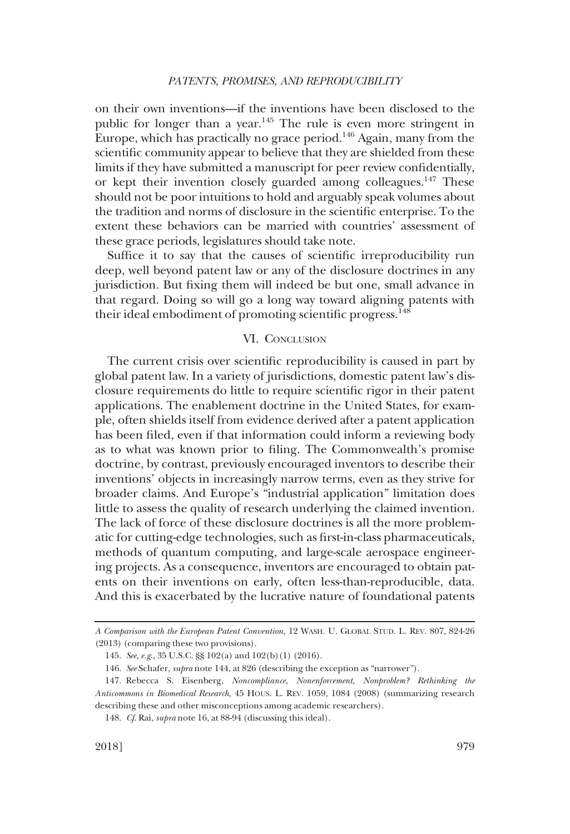<span id="page-22-0"></span>on their own inventions—if the inventions have been disclosed to the public for longer than a year.<sup>145</sup> The rule is even more stringent in Europe, which has practically no grace period.<sup>146</sup> Again, many from the scientific community appear to believe that they are shielded from these limits if they have submitted a manuscript for peer review confidentially, or kept their invention closely guarded among colleagues.<sup>147</sup> These should not be poor intuitions to hold and arguably speak volumes about the tradition and norms of disclosure in the scientific enterprise. To the extent these behaviors can be married with countries' assessment of these grace periods, legislatures should take note.

Suffice it to say that the causes of scientific irreproducibility run deep, well beyond patent law or any of the disclosure doctrines in any jurisdiction. But fixing them will indeed be but one, small advance in that regard. Doing so will go a long way toward aligning patents with their ideal embodiment of promoting scientific progress.<sup>148</sup>

# VI. CONCLUSION

The current crisis over scientific reproducibility is caused in part by global patent law. In a variety of jurisdictions, domestic patent law's disclosure requirements do little to require scientific rigor in their patent applications. The enablement doctrine in the United States, for example, often shields itself from evidence derived after a patent application has been filed, even if that information could inform a reviewing body as to what was known prior to filing. The Commonwealth's promise doctrine, by contrast, previously encouraged inventors to describe their inventions' objects in increasingly narrow terms, even as they strive for broader claims. And Europe's "industrial application" limitation does little to assess the quality of research underlying the claimed invention. The lack of force of these disclosure doctrines is all the more problematic for cutting-edge technologies, such as first-in-class pharmaceuticals, methods of quantum computing, and large-scale aerospace engineering projects. As a consequence, inventors are encouraged to obtain patents on their inventions on early, often less-than-reproducible, data. And this is exacerbated by the lucrative nature of foundational patents

A Comparison with the European Patent Convention, 12 WASH. U. GLOBAL STUD. L. REV. 807, 824-26 (2013) (comparing these two provisions).

<sup>145.</sup> See, e.g., 35 U.S.C. §§ 102(a) and 102(b)(1) (2016).

<sup>146.</sup> See Schafer, supra note 144, at 826 (describing the exception as "narrower").

<sup>147.</sup> Rebecca S. Eisenberg, Noncompliance, Nonenforcement, Nonproblem? Rethinking the Anticommons in Biomedical Research, 45 HOUS. L. REV. 1059, 1084 (2008) (summarizing research describing these and other misconceptions among academic researchers).

<sup>148.</sup> Cf. Rai, supra note 16, at 88-94 (discussing this ideal).